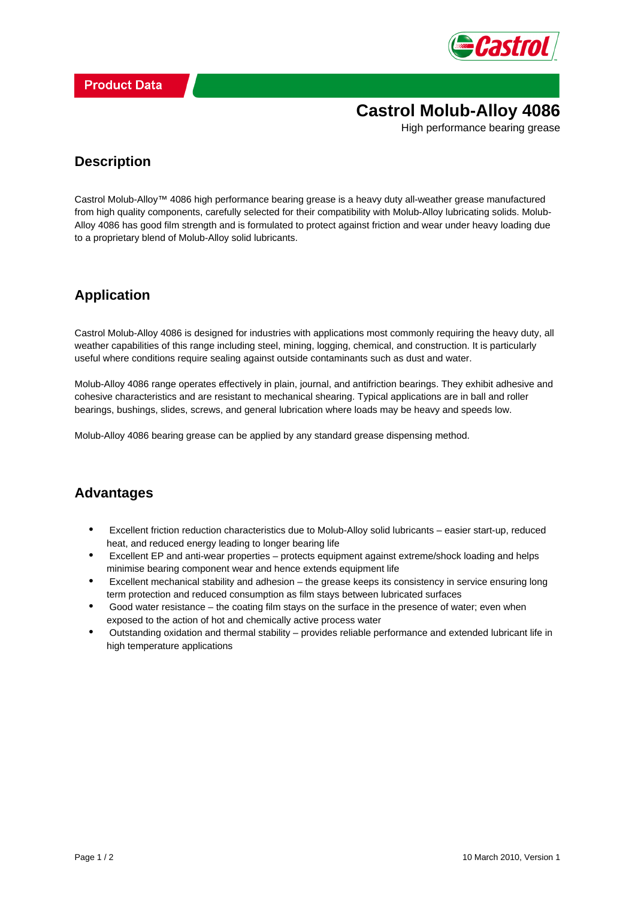

**Castrol Molub-Alloy 4086**

High performance bearing grease

#### **Description**

Castrol Molub-Alloy™ 4086 high performance bearing grease is a heavy duty all-weather grease manufactured from high quality components, carefully selected for their compatibility with Molub-Alloy lubricating solids. Molub-Alloy 4086 has good film strength and is formulated to protect against friction and wear under heavy loading due to a proprietary blend of Molub-Alloy solid lubricants.

### **Application**

Castrol Molub-Alloy 4086 is designed for industries with applications most commonly requiring the heavy duty, all weather capabilities of this range including steel, mining, logging, chemical, and construction. It is particularly useful where conditions require sealing against outside contaminants such as dust and water.

Molub-Alloy 4086 range operates effectively in plain, journal, and antifriction bearings. They exhibit adhesive and cohesive characteristics and are resistant to mechanical shearing. Typical applications are in ball and roller bearings, bushings, slides, screws, and general lubrication where loads may be heavy and speeds low.

Molub-Alloy 4086 bearing grease can be applied by any standard grease dispensing method.

### **Advantages**

- Excellent friction reduction characteristics due to Molub-Alloy solid lubricants easier start-up, reduced heat, and reduced energy leading to longer bearing life •
- Excellent EP and anti-wear properties protects equipment against extreme/shock loading and helps minimise bearing component wear and hence extends equipment life •
- Excellent mechanical stability and adhesion the grease keeps its consistency in service ensuring long term protection and reduced consumption as film stays between lubricated surfaces •
- Good water resistance the coating film stays on the surface in the presence of water; even when exposed to the action of hot and chemically active process water •
- Outstanding oxidation and thermal stability provides reliable performance and extended lubricant life in high temperature applications •